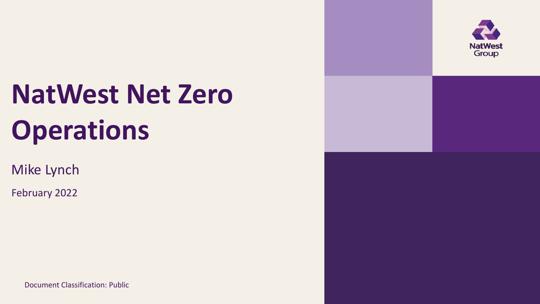

# **NatWest Net Zero Operations**

Mike Lynch

February 2022

Document Classification: Public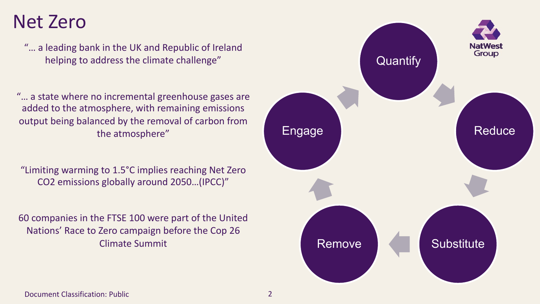### Net Zero

"… a leading bank in the UK and Republic of Ireland helping to address the climate challenge"

"… a state where no incremental greenhouse gases are added to the atmosphere, with remaining emissions output being balanced by the removal of carbon from the atmosphere"

"Limiting warming to 1.5°C implies reaching Net Zero CO2 emissions globally around 2050…(IPCC)"

60 companies in the FTSE 100 were part of the United Nations' Race to Zero campaign before the Cop 26 Climate Summit



Document Classification: Public 2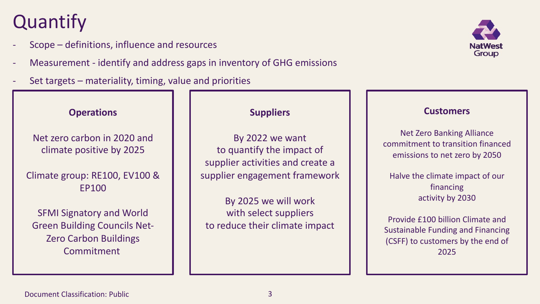### **Quantify**

- Scope definitions, influence and resources
- Measurement identify and address gaps in inventory of GHG emissions
- Set targets materiality, timing, value and priorities



#### **Operations**

Net zero carbon in 2020 and climate positive by 2025

### Climate group: RE100, EV100 & EP100

SFMI Signatory and World Green Building Councils Net-Zero Carbon Buildings Commitment

### **Suppliers**

By 2022 we want to quantify the impact of supplier activities and create a supplier engagement framework

By 2025 we will work with select suppliers to reduce their climate impact

#### **Customers**

Net Zero Banking Alliance commitment to transition financed emissions to net zero by 2050

Halve the climate impact of our financing activity by 2030

Provide £100 billion Climate and Sustainable Funding and Financing (CSFF) to customers by the end of 2025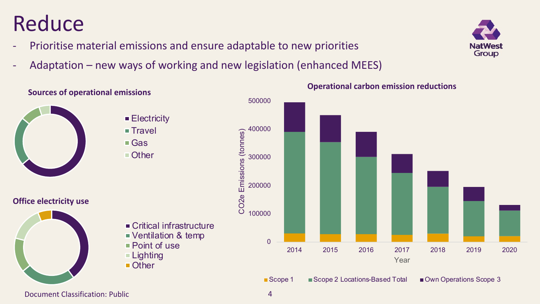



#### Document Classification: Public 4

**Sources of operational emissions**

■ Other

 $$ Gas ■ Other

#### **Operational carbon emission reductions**







### **Reduce**

- Prioritise material emissions and ensure adaptable to new priorities
- Adaptation new ways of working and new legislation (enhanced MEES)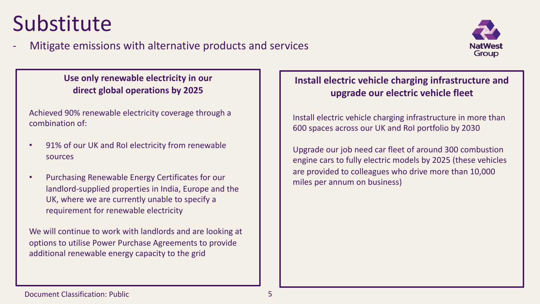## Substitute





**Use only renewable electricity in our direct global operations by 2025**

Achieved 90% renewable electricity coverage through a combination of:

- 91% of our UK and RoI electricity from renewable sources
- Purchasing Renewable Energy Certificates for our landlord-supplied properties in India, Europe and the UK, where we are currently unable to specify a requirement for renewable electricity

We will continue to work with landlords and are looking at options to utilise Power Purchase Agreements to provide additional renewable energy capacity to the grid

### **Install electric vehicle charging infrastructure and upgrade our electric vehicle fleet**

Install electric vehicle charging infrastructure in more than 600 spaces across our UK and RoI portfolio by 2030

Upgrade our job need car fleet of around 300 combustion engine cars to fully electric models by 2025 (these vehicles are provided to colleagues who drive more than 10,000 miles per annum on business)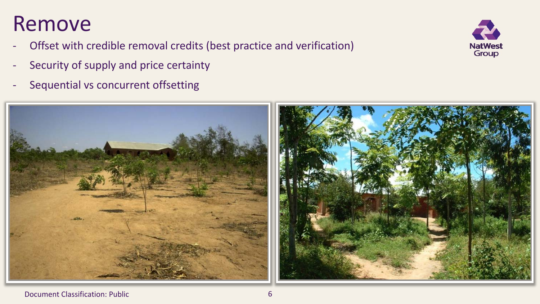### Remove

- Offset with credible removal credits (best practice and verification)
- Security of supply and price certainty
- Sequential vs concurrent offsetting



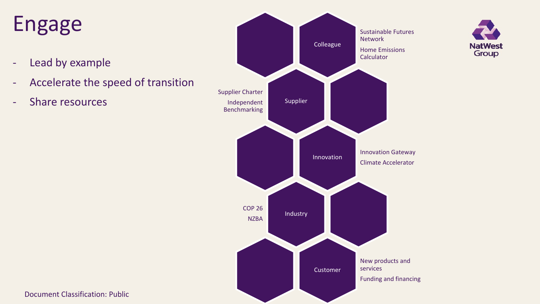## Engage

- Lead by example
- Accelerate the speed of transition
- Share resources